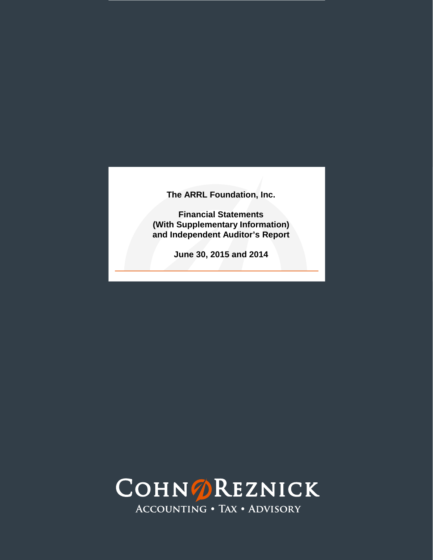**Financial Statements (With Supplementary Information) and Independent Auditor's Report**

**June 30, 2015 and 2014**

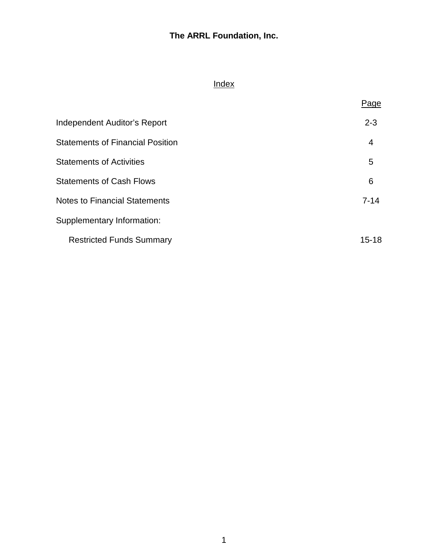# Index

|                                         | Page      |
|-----------------------------------------|-----------|
| <b>Independent Auditor's Report</b>     | $2 - 3$   |
| <b>Statements of Financial Position</b> | 4         |
| <b>Statements of Activities</b>         | 5         |
| <b>Statements of Cash Flows</b>         | 6         |
| <b>Notes to Financial Statements</b>    | $7 - 14$  |
| Supplementary Information:              |           |
| <b>Restricted Funds Summary</b>         | $15 - 18$ |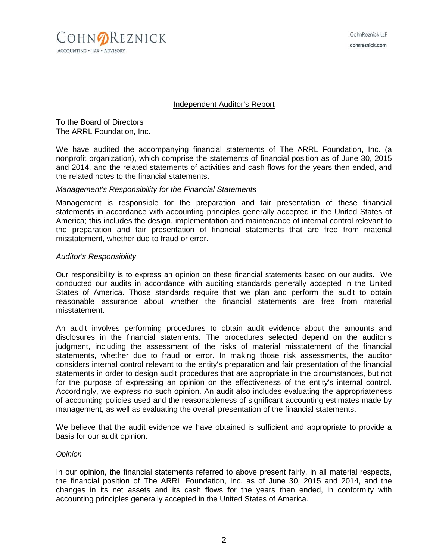

#### Independent Auditor's Report

To the Board of Directors The ARRL Foundation, Inc.

We have audited the accompanying financial statements of The ARRL Foundation, Inc. (a nonprofit organization), which comprise the statements of financial position as of June 30, 2015 and 2014, and the related statements of activities and cash flows for the years then ended, and the related notes to the financial statements.

#### *Management's Responsibility for the Financial Statements*

Management is responsible for the preparation and fair presentation of these financial statements in accordance with accounting principles generally accepted in the United States of America; this includes the design, implementation and maintenance of internal control relevant to the preparation and fair presentation of financial statements that are free from material misstatement, whether due to fraud or error.

#### *Auditor's Responsibility*

Our responsibility is to express an opinion on these financial statements based on our audits. We conducted our audits in accordance with auditing standards generally accepted in the United States of America. Those standards require that we plan and perform the audit to obtain reasonable assurance about whether the financial statements are free from material misstatement.

An audit involves performing procedures to obtain audit evidence about the amounts and disclosures in the financial statements. The procedures selected depend on the auditor's judgment, including the assessment of the risks of material misstatement of the financial statements, whether due to fraud or error. In making those risk assessments, the auditor considers internal control relevant to the entity's preparation and fair presentation of the financial statements in order to design audit procedures that are appropriate in the circumstances, but not for the purpose of expressing an opinion on the effectiveness of the entity's internal control. Accordingly, we express no such opinion. An audit also includes evaluating the appropriateness of accounting policies used and the reasonableness of significant accounting estimates made by management, as well as evaluating the overall presentation of the financial statements.

We believe that the audit evidence we have obtained is sufficient and appropriate to provide a basis for our audit opinion.

#### *Opinion*

In our opinion, the financial statements referred to above present fairly, in all material respects, the financial position of The ARRL Foundation, Inc. as of June 30, 2015 and 2014, and the changes in its net assets and its cash flows for the years then ended, in conformity with accounting principles generally accepted in the United States of America.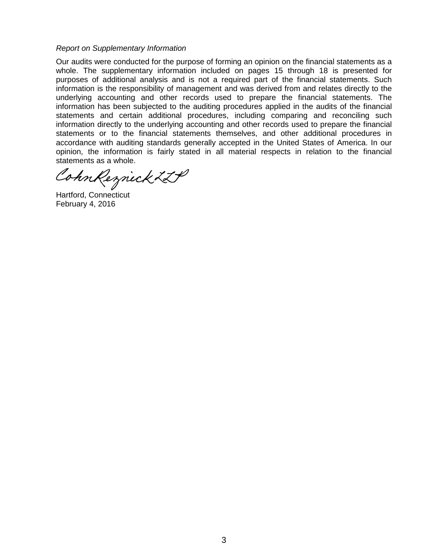#### *Report on Supplementary Information*

Our audits were conducted for the purpose of forming an opinion on the financial statements as a whole. The supplementary information included on pages 15 through 18 is presented for purposes of additional analysis and is not a required part of the financial statements. Such information is the responsibility of management and was derived from and relates directly to the underlying accounting and other records used to prepare the financial statements. The information has been subjected to the auditing procedures applied in the audits of the financial statements and certain additional procedures, including comparing and reconciling such information directly to the underlying accounting and other records used to prepare the financial statements or to the financial statements themselves, and other additional procedures in accordance with auditing standards generally accepted in the United States of America. In our opinion, the information is fairly stated in all material respects in relation to the financial statements as a whole

CohnReznick ZLP

Hartford, Connecticut February 4, 2016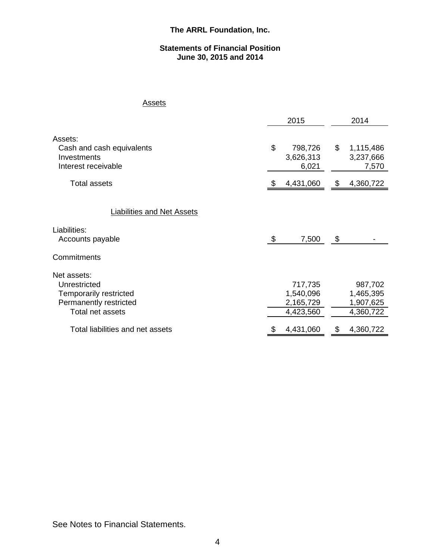#### **Statements of Financial Position June 30, 2015 and 2014**

## **Assets**

|                                                                                                                                                |    | 2015                                                        | 2014 |                                                             |  |  |
|------------------------------------------------------------------------------------------------------------------------------------------------|----|-------------------------------------------------------------|------|-------------------------------------------------------------|--|--|
| Assets:<br>Cash and cash equivalents<br>Investments<br>Interest receivable                                                                     | \$ | 798,726<br>3,626,313<br>6,021                               | \$   | 1,115,486<br>3,237,666<br>7,570                             |  |  |
| Total assets                                                                                                                                   | æ. | 4,431,060                                                   | \$   | 4,360,722                                                   |  |  |
| <b>Liabilities and Net Assets</b><br>Liabilities:                                                                                              |    |                                                             |      |                                                             |  |  |
| Accounts payable                                                                                                                               | \$ | 7,500                                                       | \$   |                                                             |  |  |
| Commitments                                                                                                                                    |    |                                                             |      |                                                             |  |  |
| Net assets:<br>Unrestricted<br><b>Temporarily restricted</b><br>Permanently restricted<br>Total net assets<br>Total liabilities and net assets |    | 717,735<br>1,540,096<br>2,165,729<br>4,423,560<br>4,431,060 |      | 987,702<br>1,465,395<br>1,907,625<br>4,360,722<br>4,360,722 |  |  |

See Notes to Financial Statements.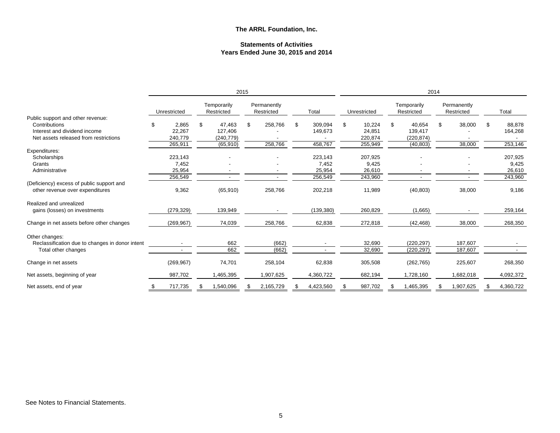#### **Statements of Activities Years Ended June 30, 2015 and 2014**

|                                                                              |    |              |    |                           | 2015 |                           |     |            | 2014 |              |    |                           |                           |    |           |
|------------------------------------------------------------------------------|----|--------------|----|---------------------------|------|---------------------------|-----|------------|------|--------------|----|---------------------------|---------------------------|----|-----------|
|                                                                              |    | Unrestricted |    | Temporarily<br>Restricted |      | Permanently<br>Restricted |     | Total      |      | Unrestricted |    | Temporarily<br>Restricted | Permanently<br>Restricted |    | Total     |
| Public support and other revenue:                                            |    |              |    |                           |      |                           |     |            |      |              |    |                           |                           |    |           |
| Contributions                                                                | ß. | 2,865        | \$ | 47,463                    | \$   | 258,766                   | \$  | 309,094    | \$.  | 10,224       | \$ | 40,654                    | \$<br>38,000              | \$ | 88,878    |
| Interest and dividend income                                                 |    | 22,267       |    | 127,406                   |      |                           |     | 149,673    |      | 24,851       |    | 139,417                   |                           |    | 164,268   |
| Net assets released from restrictions                                        |    | 240,779      |    | (240, 779)                |      |                           |     |            |      | 220,874      |    | (220,874)                 |                           |    |           |
|                                                                              |    | 265,911      |    | (65, 910)                 |      | 258,766                   |     | 458,767    |      | 255,949      |    | (40, 803)                 | 38,000                    |    | 253,146   |
| Expenditures:                                                                |    |              |    |                           |      |                           |     |            |      |              |    |                           |                           |    |           |
| Scholarships                                                                 |    | 223,143      |    |                           |      |                           |     | 223,143    |      | 207,925      |    |                           |                           |    | 207,925   |
| Grants                                                                       |    | 7,452        |    |                           |      |                           |     | 7,452      |      | 9,425        |    |                           |                           |    | 9,425     |
| Administrative                                                               |    | 25,954       |    |                           |      |                           |     | 25,954     |      | 26,610       |    |                           |                           |    | 26,610    |
|                                                                              |    | 256,549      |    |                           |      | ٠                         |     | 256,549    |      | 243,960      |    |                           | ٠                         |    | 243,960   |
| (Deficiency) excess of public support and<br>other revenue over expenditures |    | 9,362        |    | (65, 910)                 |      | 258,766                   |     | 202,218    |      | 11,989       |    | (40, 803)                 | 38,000                    |    | 9,186     |
| Realized and unrealized                                                      |    |              |    |                           |      |                           |     |            |      |              |    |                           |                           |    |           |
| gains (losses) on investments                                                |    | (279, 329)   |    | 139,949                   |      |                           |     | (139, 380) |      | 260,829      |    | (1,665)                   |                           |    | 259,164   |
| Change in net assets before other changes                                    |    | (269, 967)   |    | 74,039                    |      | 258,766                   |     | 62,838     |      | 272,818      |    | (42, 468)                 | 38,000                    |    | 268,350   |
| Other changes:                                                               |    |              |    |                           |      |                           |     |            |      |              |    |                           |                           |    |           |
| Reclassification due to changes in donor intent                              |    |              |    | 662                       |      | (662)                     |     |            |      | 32,690       |    | (220, 297)                | 187,607                   |    |           |
| Total other changes                                                          |    |              |    | 662                       |      | (662)                     |     |            |      | 32,690       |    | (220, 297)                | 187,607                   |    |           |
| Change in net assets                                                         |    | (269, 967)   |    | 74,701                    |      | 258,104                   |     | 62,838     |      | 305,508      |    | (262, 765)                | 225,607                   |    | 268,350   |
| Net assets, beginning of year                                                |    | 987,702      |    | ,465,395                  |      | 1,907,625                 |     | 4,360,722  |      | 682,194      |    | 1,728,160                 | 1,682,018                 |    | 4,092,372 |
| Net assets, end of year                                                      | \$ | 717,735      | S  | 1,540,096                 | S    | 2,165,729                 | \$. | 4,423,560  | - 35 | 987,702      | æ. | 1,465,395                 | 1,907,625                 | S  | 4,360,722 |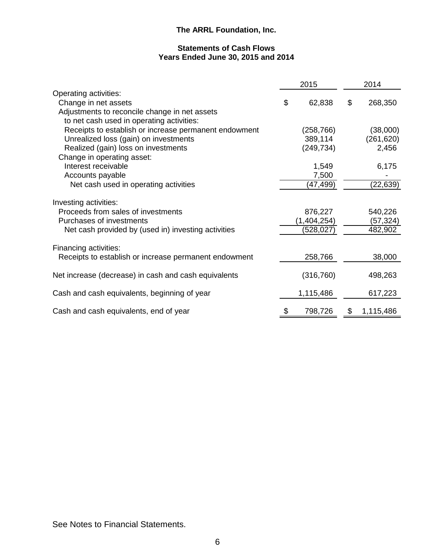### **Statements of Cash Flows Years Ended June 30, 2015 and 2014**

|                                                                                                                                                | 2015                                 | 2014 |                                |  |
|------------------------------------------------------------------------------------------------------------------------------------------------|--------------------------------------|------|--------------------------------|--|
| Operating activities:<br>Change in net assets                                                                                                  | \$<br>62,838                         | \$   | 268,350                        |  |
| Adjustments to reconcile change in net assets<br>to net cash used in operating activities:                                                     |                                      |      |                                |  |
| Receipts to establish or increase permanent endowment                                                                                          | (258, 766)                           |      | (38,000)                       |  |
| Unrealized loss (gain) on investments                                                                                                          | 389,114                              |      | (261, 620)                     |  |
| Realized (gain) loss on investments<br>Change in operating asset:                                                                              | (249, 734)                           |      | 2,456                          |  |
| Interest receivable                                                                                                                            | 1,549                                |      | 6,175                          |  |
| Accounts payable                                                                                                                               | 7,500                                |      |                                |  |
| Net cash used in operating activities                                                                                                          | (47,499)                             |      | (22, 639)                      |  |
| Investing activities:<br>Proceeds from sales of investments<br>Purchases of investments<br>Net cash provided by (used in) investing activities | 876,227<br>(1,404,254)<br>(528, 027) |      | 540,226<br>(57,324)<br>482,902 |  |
| Financing activities:<br>Receipts to establish or increase permanent endowment                                                                 | 258,766                              |      | 38,000                         |  |
| Net increase (decrease) in cash and cash equivalents                                                                                           | (316, 760)                           |      | 498,263                        |  |
| Cash and cash equivalents, beginning of year                                                                                                   | 1,115,486                            |      | 617,223                        |  |
| Cash and cash equivalents, end of year                                                                                                         | \$<br>798,726                        | \$   | 1,115,486                      |  |

See Notes to Financial Statements.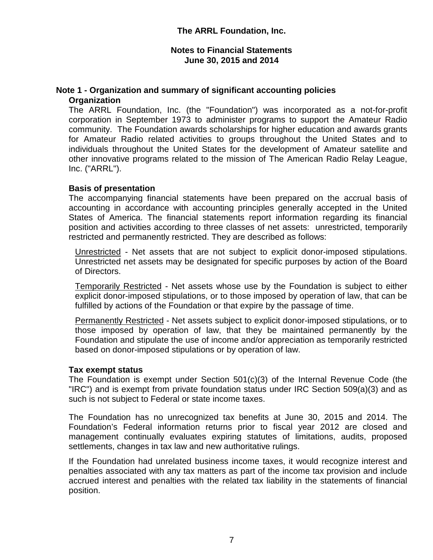## **Note 1 - Organization and summary of significant accounting policies Organization**

The ARRL Foundation, Inc. (the "Foundation") was incorporated as a not-for-profit corporation in September 1973 to administer programs to support the Amateur Radio community. The Foundation awards scholarships for higher education and awards grants for Amateur Radio related activities to groups throughout the United States and to individuals throughout the United States for the development of Amateur satellite and other innovative programs related to the mission of The American Radio Relay League, Inc. ("ARRL").

## **Basis of presentation**

The accompanying financial statements have been prepared on the accrual basis of accounting in accordance with accounting principles generally accepted in the United States of America. The financial statements report information regarding its financial position and activities according to three classes of net assets: unrestricted, temporarily restricted and permanently restricted. They are described as follows:

Unrestricted - Net assets that are not subject to explicit donor-imposed stipulations. Unrestricted net assets may be designated for specific purposes by action of the Board of Directors.

Temporarily Restricted - Net assets whose use by the Foundation is subject to either explicit donor-imposed stipulations, or to those imposed by operation of law, that can be fulfilled by actions of the Foundation or that expire by the passage of time.

Permanently Restricted - Net assets subject to explicit donor-imposed stipulations, or to those imposed by operation of law, that they be maintained permanently by the Foundation and stipulate the use of income and/or appreciation as temporarily restricted based on donor-imposed stipulations or by operation of law.

## **Tax exempt status**

The Foundation is exempt under Section 501(c)(3) of the Internal Revenue Code (the "IRC") and is exempt from private foundation status under IRC Section 509(a)(3) and as such is not subject to Federal or state income taxes.

The Foundation has no unrecognized tax benefits at June 30, 2015 and 2014. The Foundation's Federal information returns prior to fiscal year 2012 are closed and management continually evaluates expiring statutes of limitations, audits, proposed settlements, changes in tax law and new authoritative rulings.

If the Foundation had unrelated business income taxes, it would recognize interest and penalties associated with any tax matters as part of the income tax provision and include accrued interest and penalties with the related tax liability in the statements of financial position.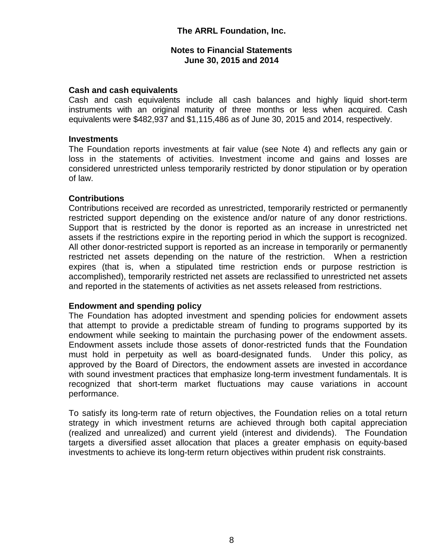## **Cash and cash equivalents**

Cash and cash equivalents include all cash balances and highly liquid short-term instruments with an original maturity of three months or less when acquired. Cash equivalents were \$482,937 and \$1,115,486 as of June 30, 2015 and 2014, respectively.

## **Investments**

The Foundation reports investments at fair value (see Note 4) and reflects any gain or loss in the statements of activities. Investment income and gains and losses are considered unrestricted unless temporarily restricted by donor stipulation or by operation of law.

## **Contributions**

Contributions received are recorded as unrestricted, temporarily restricted or permanently restricted support depending on the existence and/or nature of any donor restrictions. Support that is restricted by the donor is reported as an increase in unrestricted net assets if the restrictions expire in the reporting period in which the support is recognized. All other donor-restricted support is reported as an increase in temporarily or permanently restricted net assets depending on the nature of the restriction. When a restriction expires (that is, when a stipulated time restriction ends or purpose restriction is accomplished), temporarily restricted net assets are reclassified to unrestricted net assets and reported in the statements of activities as net assets released from restrictions.

## **Endowment and spending policy**

The Foundation has adopted investment and spending policies for endowment assets that attempt to provide a predictable stream of funding to programs supported by its endowment while seeking to maintain the purchasing power of the endowment assets. Endowment assets include those assets of donor-restricted funds that the Foundation must hold in perpetuity as well as board-designated funds. Under this policy, as approved by the Board of Directors, the endowment assets are invested in accordance with sound investment practices that emphasize long-term investment fundamentals. It is recognized that short-term market fluctuations may cause variations in account performance.

To satisfy its long-term rate of return objectives, the Foundation relies on a total return strategy in which investment returns are achieved through both capital appreciation (realized and unrealized) and current yield (interest and dividends). The Foundation targets a diversified asset allocation that places a greater emphasis on equity-based investments to achieve its long-term return objectives within prudent risk constraints.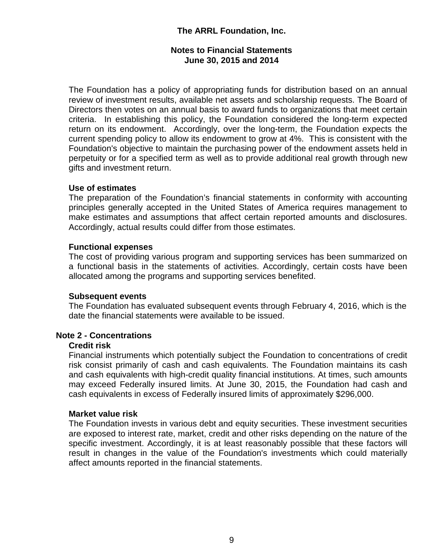## **Notes to Financial Statements June 30, 2015 and 2014**

The Foundation has a policy of appropriating funds for distribution based on an annual review of investment results, available net assets and scholarship requests. The Board of Directors then votes on an annual basis to award funds to organizations that meet certain criteria. In establishing this policy, the Foundation considered the long-term expected return on its endowment. Accordingly, over the long-term, the Foundation expects the current spending policy to allow its endowment to grow at 4%. This is consistent with the Foundation's objective to maintain the purchasing power of the endowment assets held in perpetuity or for a specified term as well as to provide additional real growth through new gifts and investment return.

## **Use of estimates**

The preparation of the Foundation's financial statements in conformity with accounting principles generally accepted in the United States of America requires management to make estimates and assumptions that affect certain reported amounts and disclosures. Accordingly, actual results could differ from those estimates.

## **Functional expenses**

The cost of providing various program and supporting services has been summarized on a functional basis in the statements of activities. Accordingly, certain costs have been allocated among the programs and supporting services benefited.

#### **Subsequent events**

The Foundation has evaluated subsequent events through February 4, 2016, which is the date the financial statements were available to be issued.

## **Note 2 - Concentrations**

#### **Credit risk**

Financial instruments which potentially subject the Foundation to concentrations of credit risk consist primarily of cash and cash equivalents. The Foundation maintains its cash and cash equivalents with high-credit quality financial institutions. At times, such amounts may exceed Federally insured limits. At June 30, 2015, the Foundation had cash and cash equivalents in excess of Federally insured limits of approximately \$296,000.

#### **Market value risk**

The Foundation invests in various debt and equity securities. These investment securities are exposed to interest rate, market, credit and other risks depending on the nature of the specific investment. Accordingly, it is at least reasonably possible that these factors will result in changes in the value of the Foundation's investments which could materially affect amounts reported in the financial statements.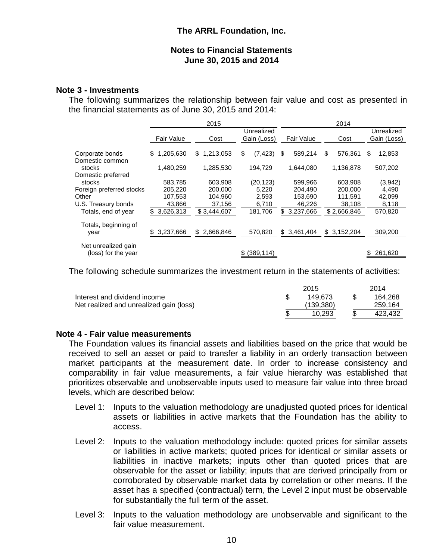## **Note 3 - Investments**

The following summarizes the relationship between fair value and cost as presented in the financial statements as of June 30, 2015 and 2014:

|                                            |                           | 2015                  |                           |                            | 2014                  |                           |  |  |
|--------------------------------------------|---------------------------|-----------------------|---------------------------|----------------------------|-----------------------|---------------------------|--|--|
|                                            | <b>Fair Value</b>         | Cost                  | Unrealized<br>Gain (Loss) | <b>Fair Value</b>          | Cost                  | Unrealized<br>Gain (Loss) |  |  |
| Corporate bonds                            | 1,205,630<br>\$           | 1,213,053<br>S        | \$<br>(7, 423)            | 589,214<br>\$              | \$<br>576,361         | \$<br>12,853              |  |  |
| Domestic common<br>stocks                  | 1,480,259                 | 1,285,530             | 194.729                   | 1.644.080                  | 1,136,878             | 507,202                   |  |  |
| Domestic preferred<br>stocks               | 583.785                   | 603.908               | (20, 123)                 | 599.966                    | 603,908               | (3,942)                   |  |  |
| Foreign preferred stocks<br>Other          | 205,220<br>107,553        | 200.000<br>104,960    | 5,220<br>2,593            | 204.490<br>153,690         | 200,000<br>111.591    | 4,490<br>42,099           |  |  |
| U.S. Treasury bonds<br>Totals, end of year | 43.866<br>3,626,313<br>\$ | 37,156<br>\$3,444,607 | 6,710<br>181,706          | 46,226<br>3,237,666<br>\$. | 38,108<br>\$2,666,846 | 8,118<br>570,820          |  |  |
| Totals, beginning of<br>year               | 3,237,666<br>S.           | 2,666,846<br>\$       | 570,820                   | 3,461,404<br>\$            | \$3,152,204           | 309,200                   |  |  |
| Net unrealized gain<br>(loss) for the year |                           |                       | (389, 114)                |                            |                       | 261,620                   |  |  |

The following schedule summarizes the investment return in the statements of activities:

|                                         | 2015         | 2014    |
|-----------------------------------------|--------------|---------|
| Interest and dividend income            | 149.673      | 164,268 |
| Net realized and unrealized gain (loss) | (139, 380)   | 259,164 |
|                                         | \$<br>10.293 | 423,432 |

## **Note 4 - Fair value measurements**

The Foundation values its financial assets and liabilities based on the price that would be received to sell an asset or paid to transfer a liability in an orderly transaction between market participants at the measurement date. In order to increase consistency and comparability in fair value measurements, a fair value hierarchy was established that prioritizes observable and unobservable inputs used to measure fair value into three broad levels, which are described below:

- Level 1: Inputs to the valuation methodology are unadjusted quoted prices for identical assets or liabilities in active markets that the Foundation has the ability to access.
- Level 2: Inputs to the valuation methodology include: quoted prices for similar assets or liabilities in active markets; quoted prices for identical or similar assets or liabilities in inactive markets; inputs other than quoted prices that are observable for the asset or liability; inputs that are derived principally from or corroborated by observable market data by correlation or other means. If the asset has a specified (contractual) term, the Level 2 input must be observable for substantially the full term of the asset.
- Level 3: Inputs to the valuation methodology are unobservable and significant to the fair value measurement.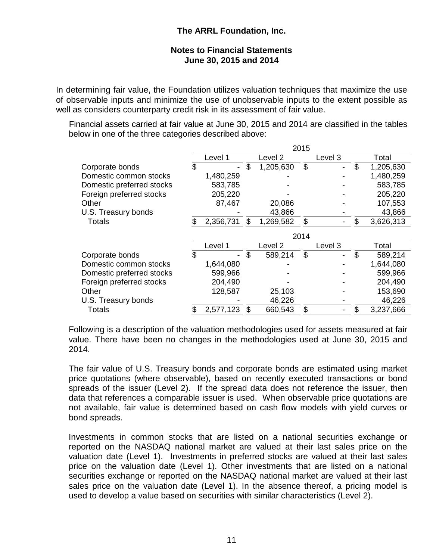In determining fair value, the Foundation utilizes valuation techniques that maximize the use of observable inputs and minimize the use of unobservable inputs to the extent possible as well as considers counterparty credit risk in its assessment of fair value.

Financial assets carried at fair value at June 30, 2015 and 2014 are classified in the tables below in one of the three categories described above:

|                           | 2015 |           |    |           |         |         |    |           |
|---------------------------|------|-----------|----|-----------|---------|---------|----|-----------|
|                           |      | Level 1   |    | Level 2   | Level 3 |         |    | Total     |
| Corporate bonds           | \$   |           | \$ | 1,205,630 | \$      |         | \$ | 1,205,630 |
| Domestic common stocks    |      | 1,480,259 |    |           |         |         |    | 1,480,259 |
| Domestic preferred stocks |      | 583,785   |    |           |         |         |    | 583,785   |
| Foreign preferred stocks  |      | 205,220   |    |           |         |         |    | 205,220   |
| Other                     |      | 87,467    |    | 20,086    |         |         |    | 107,553   |
| U.S. Treasury bonds       |      |           |    | 43,866    |         |         |    | 43,866    |
| <b>Totals</b>             |      | 2,356,731 | \$ | 1,269,582 | \$      |         | \$ | 3,626,313 |
|                           | 2014 |           |    |           |         |         |    |           |
|                           |      | Level 1   |    | Level 2   |         | Level 3 |    | Total     |
| Corporate bonds           | \$   |           | \$ | 589,214   | \$      |         | \$ | 589,214   |
| Domestic common stocks    |      | 1,644,080 |    |           |         |         |    | 1,644,080 |
| Domestic preferred stocks |      | 599,966   |    |           |         |         |    | 599,966   |
| Foreign preferred stocks  |      | 204,490   |    |           |         |         |    | 204,490   |
| Other                     |      | 128,587   |    | 25,103    |         |         |    | 153,690   |
| U.S. Treasury bonds       |      |           |    | 46,226    |         |         |    | 46,226    |
| <b>Totals</b>             | \$   | 2,577,123 | \$ | 660,543   | \$      |         | \$ | 3,237,666 |

Following is a description of the valuation methodologies used for assets measured at fair value. There have been no changes in the methodologies used at June 30, 2015 and 2014.

The fair value of U.S. Treasury bonds and corporate bonds are estimated using market price quotations (where observable), based on recently executed transactions or bond spreads of the issuer (Level 2). If the spread data does not reference the issuer, then data that references a comparable issuer is used. When observable price quotations are not available, fair value is determined based on cash flow models with yield curves or bond spreads.

Investments in common stocks that are listed on a national securities exchange or reported on the NASDAQ national market are valued at their last sales price on the valuation date (Level 1). Investments in preferred stocks are valued at their last sales price on the valuation date (Level 1). Other investments that are listed on a national securities exchange or reported on the NASDAQ national market are valued at their last sales price on the valuation date (Level 1). In the absence thereof, a pricing model is used to develop a value based on securities with similar characteristics (Level 2).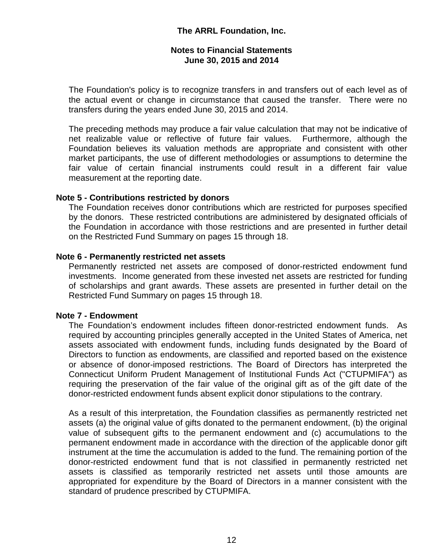The Foundation's policy is to recognize transfers in and transfers out of each level as of the actual event or change in circumstance that caused the transfer. There were no transfers during the years ended June 30, 2015 and 2014.

The preceding methods may produce a fair value calculation that may not be indicative of net realizable value or reflective of future fair values. Furthermore, although the Foundation believes its valuation methods are appropriate and consistent with other market participants, the use of different methodologies or assumptions to determine the fair value of certain financial instruments could result in a different fair value measurement at the reporting date.

## **Note 5 - Contributions restricted by donors**

The Foundation receives donor contributions which are restricted for purposes specified by the donors. These restricted contributions are administered by designated officials of the Foundation in accordance with those restrictions and are presented in further detail on the Restricted Fund Summary on pages 15 through 18.

## **Note 6 - Permanently restricted net assets**

Permanently restricted net assets are composed of donor-restricted endowment fund investments. Income generated from these invested net assets are restricted for funding of scholarships and grant awards. These assets are presented in further detail on the Restricted Fund Summary on pages 15 through 18.

## **Note 7 - Endowment**

The Foundation's endowment includes fifteen donor-restricted endowment funds. As required by accounting principles generally accepted in the United States of America, net assets associated with endowment funds, including funds designated by the Board of Directors to function as endowments, are classified and reported based on the existence or absence of donor-imposed restrictions. The Board of Directors has interpreted the Connecticut Uniform Prudent Management of Institutional Funds Act ("CTUPMIFA") as requiring the preservation of the fair value of the original gift as of the gift date of the donor-restricted endowment funds absent explicit donor stipulations to the contrary.

As a result of this interpretation, the Foundation classifies as permanently restricted net assets (a) the original value of gifts donated to the permanent endowment, (b) the original value of subsequent gifts to the permanent endowment and (c) accumulations to the permanent endowment made in accordance with the direction of the applicable donor gift instrument at the time the accumulation is added to the fund. The remaining portion of the donor-restricted endowment fund that is not classified in permanently restricted net assets is classified as temporarily restricted net assets until those amounts are appropriated for expenditure by the Board of Directors in a manner consistent with the standard of prudence prescribed by CTUPMIFA.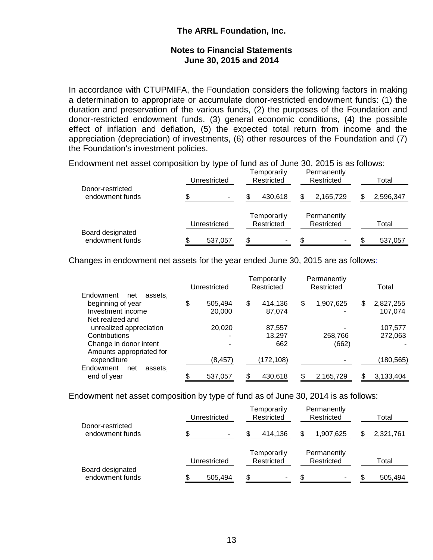In accordance with CTUPMIFA, the Foundation considers the following factors in making a determination to appropriate or accumulate donor-restricted endowment funds: (1) the duration and preservation of the various funds, (2) the purposes of the Foundation and donor-restricted endowment funds, (3) general economic conditions, (4) the possible effect of inflation and deflation, (5) the expected total return from income and the appreciation (depreciation) of investments, (6) other resources of the Foundation and (7) the Foundation's investment policies.

Endowment net asset composition by type of fund as of June 30, 2015 is as follows:

| Donor-restricted                    | Unrestricted | Temporarily<br>Restricted | Permanently<br>Restricted | Total     |  |  |
|-------------------------------------|--------------|---------------------------|---------------------------|-----------|--|--|
| endowment funds                     |              | 430,618                   | 2,165,729                 | 2,596,347 |  |  |
|                                     | Unrestricted | Temporarily<br>Restricted | Permanently<br>Restricted | Total     |  |  |
| Board designated<br>endowment funds | 537,057      | \$                        | ۰                         | 537,057   |  |  |

Changes in endowment net assets for the year ended June 30, 2015 are as follows:

|                             | Unrestricted |          |     | Temporarily<br>Restricted | Permanently<br>Restricted | Total           |  |
|-----------------------------|--------------|----------|-----|---------------------------|---------------------------|-----------------|--|
| Endowment<br>net<br>assets. |              |          |     |                           |                           |                 |  |
| beginning of year           | \$           | 505.494  | \$  | 414,136                   | \$<br>1,907,625           | \$<br>2,827,255 |  |
| Investment income           |              | 20,000   |     | 87.074                    |                           | 107,074         |  |
| Net realized and            |              |          |     |                           |                           |                 |  |
| unrealized appreciation     |              | 20,020   |     | 87,557                    |                           | 107,577         |  |
| Contributions               |              |          |     | 13.297                    | 258,766                   | 272.063         |  |
| Change in donor intent      |              |          |     | 662                       | (662)                     |                 |  |
| Amounts appropriated for    |              |          |     |                           |                           |                 |  |
| expenditure                 |              | (8, 457) |     | (172,108)                 |                           | (180, 565)      |  |
| Endowment<br>assets.<br>net |              |          |     |                           |                           |                 |  |
| end of year                 | ¢            | 537,057  | \$. | 430,618                   | 2,165,729                 | 3,133,404       |  |

Endowment net asset composition by type of fund as of June 30, 2014 is as follows:

| Donor-restricted                    | Unrestricted | Temporarily<br>Restricted | Permanently<br>Restricted | Total     |  |  |
|-------------------------------------|--------------|---------------------------|---------------------------|-----------|--|--|
| endowment funds                     |              | 414,136                   | 1,907,625                 | 2,321,761 |  |  |
|                                     | Unrestricted | Temporarily<br>Restricted | Permanently<br>Restricted | Total     |  |  |
| Board designated<br>endowment funds | 505.494      | \$<br>۰                   | ۰                         | 505,494   |  |  |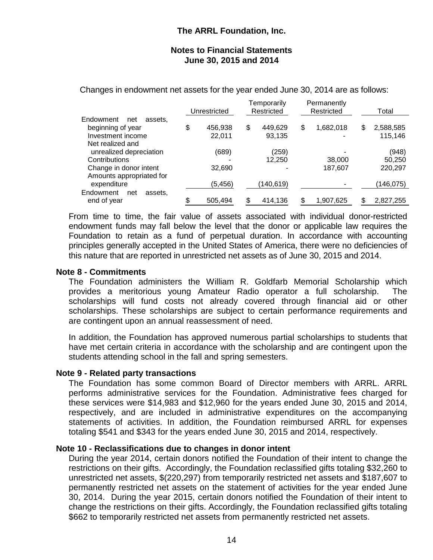Changes in endowment net assets for the year ended June 30, 2014 are as follows:

|                             | Unrestricted |          | Temporarily<br>Restricted |    | Permanently<br>Restricted | Total           |  |
|-----------------------------|--------------|----------|---------------------------|----|---------------------------|-----------------|--|
| Endowment<br>assets.<br>net |              |          |                           |    |                           |                 |  |
| beginning of year           | \$           | 456,938  | \$<br>449,629             | \$ | 1,682,018                 | \$<br>2,588,585 |  |
| Investment income           |              | 22,011   | 93,135                    |    |                           | 115,146         |  |
| Net realized and            |              |          |                           |    |                           |                 |  |
| unrealized depreciation     |              | (689)    | (259)                     |    |                           | (948)           |  |
| Contributions               |              |          | 12,250                    |    | 38,000                    | 50,250          |  |
| Change in donor intent      |              | 32,690   |                           |    | 187,607                   | 220,297         |  |
| Amounts appropriated for    |              |          |                           |    |                           |                 |  |
| expenditure                 |              | (5, 456) | (140,619)                 |    |                           | (146,075)       |  |
| Endowment<br>net<br>assets. |              |          |                           |    |                           |                 |  |
| end of year                 |              | 505,494  | 414,136                   |    | 1,907,625                 | 2,827,255       |  |

From time to time, the fair value of assets associated with individual donor-restricted endowment funds may fall below the level that the donor or applicable law requires the Foundation to retain as a fund of perpetual duration. In accordance with accounting principles generally accepted in the United States of America, there were no deficiencies of this nature that are reported in unrestricted net assets as of June 30, 2015 and 2014.

## **Note 8 - Commitments**

The Foundation administers the William R. Goldfarb Memorial Scholarship which provides a meritorious young Amateur Radio operator a full scholarship. The scholarships will fund costs not already covered through financial aid or other scholarships. These scholarships are subject to certain performance requirements and are contingent upon an annual reassessment of need.

In addition, the Foundation has approved numerous partial scholarships to students that have met certain criteria in accordance with the scholarship and are contingent upon the students attending school in the fall and spring semesters.

#### **Note 9 - Related party transactions**

The Foundation has some common Board of Director members with ARRL. ARRL performs administrative services for the Foundation. Administrative fees charged for these services were \$14,983 and \$12,960 for the years ended June 30, 2015 and 2014, respectively, and are included in administrative expenditures on the accompanying statements of activities. In addition, the Foundation reimbursed ARRL for expenses totaling \$541 and \$343 for the years ended June 30, 2015 and 2014, respectively.

## **Note 10 - Reclassifications due to changes in donor intent**

During the year 2014, certain donors notified the Foundation of their intent to change the restrictions on their gifts. Accordingly, the Foundation reclassified gifts totaling \$32,260 to unrestricted net assets, \$(220,297) from temporarily restricted net assets and \$187,607 to permanently restricted net assets on the statement of activities for the year ended June 30, 2014. During the year 2015, certain donors notified the Foundation of their intent to change the restrictions on their gifts. Accordingly, the Foundation reclassified gifts totaling \$662 to temporarily restricted net assets from permanently restricted net assets.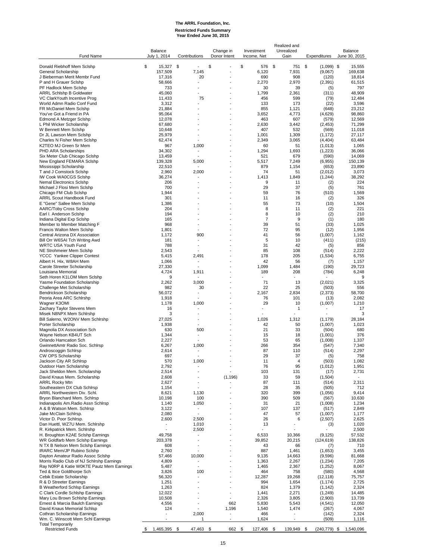## **The ARRL Foundation, Inc. Restricted Funds Summary Year Ended June 30, 2015**

Realized and

| Fund Name                                                                              | Balance<br>July 1, 2014        | Contributions  | Change in<br>Donor Intent | Investment<br>Income, Net | Unrealized<br>Gain       | Expenditures        | Balance<br>June 30, 2015 |
|----------------------------------------------------------------------------------------|--------------------------------|----------------|---------------------------|---------------------------|--------------------------|---------------------|--------------------------|
| Donald Riebhoff Mem Sclshp                                                             | \$<br>15,327                   | - \$           | \$                        | \$<br>576                 | \$<br>751                | \$<br>$(1,099)$ \$  | 15,555                   |
| General Scholarship                                                                    | 157,509                        | 7,145          |                           | 6,120                     | 7,931                    | (9,067)             | 169,638                  |
| J Bieberman Merit Membr Fund                                                           | 17,316                         | 20             |                           | 690                       | 908                      | (120)               | 18,814                   |
| P and H Grauer Scishp                                                                  | 58,666                         |                |                           | 2,270                     | 2,970                    | (2, 391)            | 61,515                   |
| PF Hadlock Mem Sclshp<br><b>ARRL Schishp B Goldwater</b>                               | 733<br>45,060                  |                |                           | 30<br>1,799               | 39<br>2,361              | (5)<br>(311)        | 797<br>48,909            |
| VC ClarkYouth Incentive Prog                                                           | 11,433                         | 75             |                           | 456                       | 599                      | (79)                | 12,484                   |
| World Admn Radio Conf Fund                                                             | 3,312                          |                |                           | 133                       | 173                      | (22)                | 3,596                    |
| FR McDaniel Mem Sclshp                                                                 | 21,884                         |                |                           | 855                       | 1,121                    | (648)               | 23,212                   |
| You've Got a Friend in PA                                                              | 95,064                         |                |                           | 3,652                     | 4,773                    | (4,629)             | 98,860                   |
| Edmond A Metzger Scishp<br>L Phil Wicker Scholarship                                   | 12,078<br>67,680               |                |                           | 463<br>2,630              | 607<br>3,442             | (579)<br>(2, 453)   | 12,569<br>71,299         |
| W Bennett Mem Scishp                                                                   | 10,648                         |                |                           | 407                       | 532                      | (569)               | 11,018                   |
| Dr JL Lawson Mem Scishp                                                                | 25,979                         |                |                           | 1,001                     | 1,309                    | (1, 172)            | 27.117                   |
| Charles N Fisher Mem Sclshp                                                            | 62,474                         |                |                           | 2,349                     | 3,065                    | (4, 404)            | 63,484                   |
| K2TEO MJ Green Sr Mem<br>PHD ARA Scholarships                                          | 967<br>34,302                  | 1,000          |                           | 60<br>1,294               | 51<br>1,693              | (1,013)<br>(1,223)  | 1,065<br>36,066          |
| Six Meter Club Chicago Sclshp                                                          | 13,459                         |                |                           | 521                       | 679                      | (590)               | 14,069                   |
| New England FEMARA Scishp                                                              | 139,328                        | 5,000          |                           | 5,517                     | 7,249                    | (6,955)             | 150,139                  |
| Mississippi Scholarship                                                                | 22,510                         |                |                           | 879                       | 1,154                    | (653)               | 23,890                   |
| T and J Comstock Scishp<br><b>IW Cook WA0CGS Scishp</b>                                | 2,960<br>36,274                | 2,000          |                           | 74<br>1,413               | 51<br>1,849              | (2,012)<br>(1,244)  | 3,073<br>38,292          |
| Nemal Electronics Scishp                                                               | 206                            |                |                           | 9                         | 11                       | (2)                 | 224                      |
| Michael J Flosi Mem Sclshp                                                             | 700                            |                |                           | 29                        | 37                       | (5)                 | 761                      |
| Chicago FM Club Sclshp                                                                 | 1,944                          |                |                           | 59                        | 76                       | (510)               | 1,569                    |
| <b>ARRL Scout Handbook Fund</b>                                                        | 301<br>1,386                   |                |                           | 11<br>55                  | 16<br>73                 | (2)                 | 326<br>1,504             |
| E "Gene" Sallee Mem Scishp<br><b>AARC/Toby Cross Scishp</b>                            | 204                            |                |                           | 8                         | 11                       | (10)<br>(2)         | 221                      |
| Earl I. Anderson Scishp                                                                | 194                            |                |                           | 8                         | 10                       | (2)                 | 210                      |
| Indiana Digital Exp Sclshp                                                             | 165                            |                |                           | $\overline{7}$            | 9                        | (1)                 | 180                      |
| Member to Member Matching F                                                            | 968                            |                |                           | 39                        | 51                       | (33)                | 1,025                    |
| Francis Walton Mem Sclshp<br>Central Arizona DX Association                            | 1,801<br>1,172                 | 900            |                           | 72<br>41                  | 95<br>56                 | (12)<br>(1,007)     | 1,956<br>1,162           |
| Bill Orr W6SAI Tch Writing Awd                                                         | 181                            |                |                           | 5                         | 10                       | (411)               | (215)                    |
| WRTC USA Youth Fund                                                                    | 788                            |                |                           | 31                        | 42                       | (5)                 | 856                      |
| NE Strohmeier Mem Sclshp                                                               | 2,543                          |                |                           | 85                        | 108                      | (514)               | 2,222                    |
| <b>YCCC Yankee Clipper Contest</b>                                                     | 5,415                          | 2,491          |                           | 178                       | 205                      | (1,534)             | 6,755                    |
| Albert H. Hix, W8AH Mem<br>Carole Streeter Scholarship                                 | 1,066<br>27,330                |                |                           | 42<br>1,099               | 56<br>1,484              | (7)<br>(190)        | 1,157<br>29,723          |
| Louisiana Memorial                                                                     | 4,724                          | 1,911          |                           | 189                       | 208                      | (784)               | 6,248                    |
| Seth Horen K1LOM Mem Scishp                                                            | 9                              |                |                           |                           |                          |                     | 9                        |
| Yasme Foundation Scholarship                                                           | 2,262                          | 3,000          |                           | 71                        | 13                       | (2,021)             | 3,325                    |
| Challenge Met Scholarship<br>Bendrickson Scholarship                                   | 982<br>56,072                  | 30             |                           | 22<br>2,167               | 25<br>2,834              | (503)<br>(2, 373)   | 556<br>58,700            |
| Peoria Area ARC Schlrshp                                                               | 1,918                          |                |                           | 76                        | 101                      | (13)                | 2,082                    |
| Wagner K3OMI                                                                           | 1,178                          | 1,000          |                           | 29                        | 10                       | (1,007)             | 1,210                    |
| Zachary Taylor Stevens Mem                                                             | 16                             |                |                           | $\overline{a}$            | 1                        |                     | 17                       |
| Misek N8NPX Mem Schlrshp                                                               | 3                              |                |                           |                           |                          |                     | 3                        |
| Bill Salerno, W2ONV Mem Schlrshp<br>Porter Scholarship                                 | 27,025<br>1,938                |                |                           | 1,026<br>42               | 1,312<br>50              | (1, 179)<br>(1,007) | 28,184<br>1,023          |
| Magnolia DX Association Sch                                                            | 630                            | 500            |                           | 21                        | 33                       | (504)               | 680                      |
| Wayne Nelson KB4UT Sch                                                                 | 1,344                          | $\overline{a}$ |                           | 15                        | 18                       | (1,001)             | 376                      |
| Orlando Hamcation Sch                                                                  | 2,227                          |                |                           | 53                        | 65                       | (1,008)             | 1,337                    |
| GwinnettAmtr Radio Soc. Schlrsp<br>Androscoggin Schlrsp                                | 6,267<br>2,614                 | 1,000          |                           | 266<br>87                 | 354<br>110               | (547)<br>(514)      | 7,340<br>2,297           |
| CW OPS Scholarship                                                                     | 697                            |                |                           | 29                        | 37                       | (5)                 | 758                      |
| Jackson City AR Schlrsp                                                                | 570                            | 1,000          |                           | 11                        | $\overline{4}$           | (503)               | 1,082                    |
| Outdoor Ham Scholarship                                                                | 2,792                          |                |                           | 76                        | 95                       | (1,012)             | 1,951                    |
| Jack Sheldon Mem. Scholarship<br>David Knaus Mem. Scholarship                          | 2,514<br>2,608                 | -              | (1, 196)                  | 103<br>33                 | 131<br>59                | (17)<br>(1,504)     | 2,731<br>$\sim$          |
| <b>ARRL Rocky Mtn</b>                                                                  | 2,627                          |                |                           | 87                        | 111                      | (514)               | 2,311                    |
| Southeastern DX Club Schlrsp                                                           | 1,154                          |                |                           | 28                        | 35                       | (505)               | 712                      |
| ARRL Northwestern Div. Schl.                                                           | 8,621                          | 1,130          |                           | 320                       | 399                      | (1,056)             | 9,414                    |
| Bryon Blanchard Mem. Schlrsp<br>Indianapolis Am.Radio Assn Schlrsp                     | 10,198<br>1,140                | 100<br>1,050   |                           | 390<br>31                 | 509<br>21                | (567)               | 10,630<br>1,234          |
| A & B Watson Mem. Schlrsp                                                              | 3,122                          | -              |                           | 107                       | 137                      | (1,008)<br>(517)    | 2,849                    |
| Jake McClain Schlrsp.                                                                  | 2,080                          |                |                           | 47                        | 57                       | (1,007)             | 1,177                    |
| Victor D. Poor Schlrsp.                                                                | 2,600                          | 2,500          |                           | 26                        | 6                        | (2,507)             | 2,625                    |
| Dan Huettl, WZ7U Mem. Schlrshp                                                         |                                | 1,010          |                           | 13                        | $\overline{\phantom{a}}$ | (3)                 | 1,020                    |
| R. Kirkpatrick Mem. Schlrshp<br>H. Broughton K2AE Sclshp Earnings                      | ÷,<br>49,758                   | 2,500          |                           | 6,533                     | 10,366                   | (9, 125)            | 2,500<br>57,532          |
| WR Goldfarb Mem Sclshp Earnings                                                        | 203,378                        | $\overline{a}$ |                           | 39,852                    | 20,215                   | (124, 619)          | 138,826                  |
| N TX B Nelson Mem Scishp Earnings                                                      | 608                            | $\overline{a}$ |                           | 43                        | 66                       | (7)                 | 710                      |
| IRARC Mem/JP Rubino Sclshp                                                             | 2,760                          |                |                           | 887                       | 1,461                    | (1,653)             | 3,455                    |
| Dayton Amateur Radio Assoc Sclshp                                                      | 57,466                         | 10,000         |                           | 9,135                     | 14,663                   | (9,596)             | 81,668                   |
| Morris Radio Club of NJ Schlrshp Earnings<br>Ray N0RP & Katie W0KTE Pautz Mem Earnings | 4,809<br>5,487                 | $\overline{a}$ |                           | 1,363<br>1,465            | 2,267<br>2,367           | (1,234)<br>(1,252)  | 7,205<br>8,067           |
| Ted & Itice Goldthorpe Sch                                                             | 3,826                          | 100            |                           | 464                       | 758                      | (580)               | 4,568                    |
| Cebik Estate Scholarship                                                               | 56,320                         |                |                           | 12,287                    | 19,268                   | (12, 118)           | 75,757                   |
| R & D Streeter Earnings                                                                | 1,251                          |                |                           | 994                       | 1,654                    | (1, 174)            | 2,725                    |
| <b>B Weatherford Schlsp Earnings</b><br>C Clark Cordle Schlshp Earnings                | 1,263<br>12,022                |                | $\overline{\phantom{a}}$  | 824<br>1,441              | 1,379<br>2,271           | (1, 142)<br>(1,249) | 2,324<br>14,485          |
| Mary Lou Brown Schlshp Earnings                                                        | 10,508                         |                | $\overline{a}$            | 2,326                     | 3,805                    | (2,900)             | 13,739                   |
| Ernest & Marcia Baulch Earnings                                                        | 4,556                          | $\overline{a}$ | 662                       | 5,830                     | 5,543                    | (4, 541)            | 12,050                   |
| David Knaus Memorial Schlsp                                                            | 124                            |                | 1,196                     | 1,540                     | 1,474                    | (267)               | 4,067                    |
| Cothran Scholarship Earnings<br>Wm. C. Winscott Mem Schl Earnings                      | $\overline{\phantom{a}}$<br>÷, | 2,000<br>-1    | $\overline{a}$            | 466<br>1,624              | $\overline{a}$           | (142)<br>(509)      | 2,324                    |
| <b>Total Temporarily</b>                                                               |                                |                |                           |                           |                          |                     | 1,116                    |
| <b>Restricted Funds</b>                                                                | 1,465,395 \$<br>S,             | 47,463 \$      | 662                       | \$<br>127,406 \$          | 139,949                  | -\$<br>(240,779) \$ | 1,540,096                |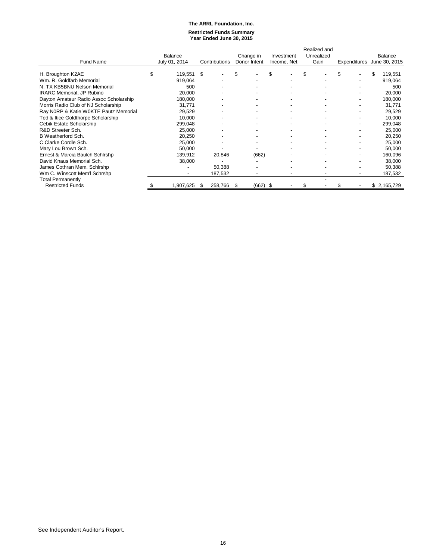#### **The ARRL Foundation, Inc. Restricted Funds Summary Year Ended June 30, 2015**

|                                        |         |                          |    |               |      |              |    |             |    | Realized and |    |  |    |                            |  |
|----------------------------------------|---------|--------------------------|----|---------------|------|--------------|----|-------------|----|--------------|----|--|----|----------------------------|--|
|                                        | Balance |                          |    |               |      | Change in    |    | Investment  |    | Unrealized   |    |  |    | Balance                    |  |
| <b>Fund Name</b>                       |         | July 01, 2014            |    | Contributions |      | Donor Intent |    | Income, Net |    | Gain         |    |  |    | Expenditures June 30, 2015 |  |
| H. Broughton K2AE                      | \$      | 119,551                  | \$ |               | \$   |              | \$ |             | \$ |              | \$ |  | \$ | 119,551                    |  |
|                                        |         |                          |    |               |      |              |    |             |    |              |    |  |    |                            |  |
| Wm. R. Goldfarb Memorial               |         | 919,064                  |    |               |      |              |    |             |    |              |    |  |    | 919,064                    |  |
| N. TX KB5BNU Nelson Memorial           |         | 500                      |    |               |      |              |    |             |    |              |    |  |    | 500                        |  |
| <b>IRARC Memorial, JP Rubino</b>       |         | 20,000                   |    |               |      |              |    |             |    |              |    |  |    | 20,000                     |  |
| Dayton Amateur Radio Assoc Scholarship |         | 180,000                  |    |               |      |              |    |             |    |              |    |  |    | 180,000                    |  |
| Morris Radio Club of NJ Scholarship    |         | 31,771                   |    |               |      |              |    |             |    |              |    |  |    | 31,771                     |  |
| Ray N0RP & Katie W0KTE Pautz Memorial  |         | 29,529                   |    |               |      |              |    |             |    |              |    |  |    | 29,529                     |  |
| Ted & Itice Goldthorpe Scholarship     |         | 10,000                   |    |               |      |              |    |             |    |              |    |  |    | 10,000                     |  |
| Cebik Estate Scholarship               |         | 299,048                  |    |               |      |              |    |             |    |              |    |  |    | 299,048                    |  |
| R&D Streeter Sch.                      |         | 25,000                   |    |               |      |              |    |             |    |              |    |  |    | 25,000                     |  |
| B Weatherford Sch.                     |         | 20,250                   |    |               |      |              |    |             |    |              |    |  |    | 20,250                     |  |
| C Clarke Cordle Sch.                   |         | 25,000                   |    |               |      |              |    |             |    |              |    |  |    | 25,000                     |  |
| Mary Lou Brown Sch.                    |         | 50,000                   |    |               |      |              |    |             |    |              |    |  |    | 50,000                     |  |
| Ernest & Marcia Baulch Schlrshp        |         | 139,912                  |    | 20,846        |      | (662)        |    |             |    |              |    |  |    | 160,096                    |  |
| David Knaus Memorial Sch.              |         | 38,000                   |    |               |      |              |    |             |    |              |    |  |    | 38,000                     |  |
| James Cothran Mem. Schlrshp            |         |                          |    | 50,388        |      |              |    |             |    |              |    |  |    | 50,388                     |  |
| Wm C. Winscott Mem'l Schrshp           |         | $\overline{\phantom{0}}$ |    | 187,532       |      |              |    |             |    |              |    |  |    | 187,532                    |  |
| <b>Total Permanently</b>               |         |                          |    |               |      |              |    |             |    |              |    |  |    |                            |  |
| <b>Restricted Funds</b>                |         | 1,907,625                | \$ | 258,766       | - \$ | $(662)$ \$   |    |             | \$ |              |    |  |    | \$2,165,729                |  |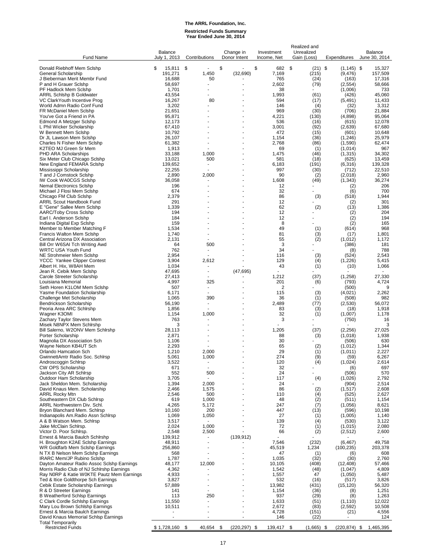# **The ARRL Foundation, Inc. Restricted Funds Summary Year Ended June 30, 2014**

| <b>Fund Name</b>                                                                        | <b>Balance</b><br>July 1, 2013 | Contributions                     | Change in<br>Donor Intent | Investment<br>Income, Net | Realized and<br>Unrealized<br>Gain (Loss) | Expenditures         | Balance<br>June 30, 2014 |
|-----------------------------------------------------------------------------------------|--------------------------------|-----------------------------------|---------------------------|---------------------------|-------------------------------------------|----------------------|--------------------------|
| Donald Riebhoff Mem Sclshp                                                              | \$<br>15,811                   | \$                                | \$                        | \$<br>682                 | \$<br>$(21)$ \$                           | $(1, 145)$ \$        | 15,327                   |
| General Scholarship                                                                     | 191,271                        | 1,450                             | (32, 690)                 | 7,169                     | (215)                                     | (9, 476)             | 157,509                  |
| J Bieberman Merit Membr Fund<br>P and H Grauer Scishp                                   | 16,688<br>58,697               | 50                                |                           | 765<br>2,602              | (24)<br>(79)                              | (163)<br>(2, 554)    | 17,316<br>58,666         |
| PF Hadlock Mem Scishp                                                                   | 1,701                          |                                   |                           | 38                        |                                           | (1,006)              | 733                      |
| <b>ARRL Schlshp B Goldwater</b><br>VC ClarkYouth Incentive Prog                         | 43,554<br>16,267               | 80                                |                           | 1,993<br>594              | (61)<br>(17)                              | (426)<br>(5, 491)    | 45,060<br>11,433         |
| World Admn Radio Conf Fund                                                              | 3,202                          |                                   |                           | 146                       | (4)                                       | (32)                 | 3,312                    |
| FR McDaniel Mem Sclshp<br>You've Got a Friend in PA                                     | 21,651<br>95,871               |                                   |                           | 969<br>4,221              | (30)<br>(130)                             | (706)<br>(4,898)     | 21,884<br>95,064         |
| <b>Edmond A Metzger Scishp</b>                                                          | 12,173                         |                                   |                           | 536                       | (16)                                      | (615)                | 12,078                   |
| L Phil Wicker Scholarship<br>W Bennett Mem Scishp                                       | 67,410<br>10,792               |                                   |                           | 3,001<br>472              | (92)<br>(15)                              | (2,639)<br>(601)     | 67,680<br>10.648         |
| Dr JL Lawson Mem Sclshp                                                                 | 26,107                         |                                   |                           | 1,154                     | (36)                                      | (1, 246)             | 25,979                   |
| Charles N Fisher Mem Sclshp                                                             | 61,382                         |                                   |                           | 2,768                     | (86)                                      | (1,590)              | 62,474                   |
| K2TEO MJ Green Sr Mem<br>PHD ARA Scholarships                                           | 1,913<br>33,188                | 1,000                             |                           | 69<br>1,475               | (1)<br>(46)                               | (1,014)<br>(1, 315)  | 967<br>34,302            |
| Six Meter Club Chicago Sclshp                                                           | 13,021                         | 500                               |                           | 581                       | (18)                                      | (625)                | 13,459                   |
| New England FEMARA Scishp<br>Mississippi Scholarship                                    | 139,652<br>22,255              |                                   |                           | 6,183<br>997              | (191)<br>(30)                             | (6,316)<br>(712)     | 139,328<br>22,510        |
| T and J Comstock Scishp                                                                 | 2,890                          | 2,000                             |                           | 90                        | (2)                                       | (2,018)              | 2,960                    |
| <b>IW Cook WA0CGS Scishp</b><br><b>Nemal Electronics Scishp</b>                         | 36,058<br>196                  |                                   |                           | 1,608<br>12               | (49)                                      | (1, 343)             | 36,274<br>206            |
| Michael J Flosi Mem Sclshp                                                              | 674                            |                                   |                           | 32                        |                                           | (2)<br>(6)           | 700                      |
| Chicago FM Club Sclshp                                                                  | 2,379                          |                                   |                           | 86<br>12                  | (3)                                       | (518)                | 1,944<br>301             |
| ARRL Scout Handbook Fund<br>E "Gene" Sallee Mem Scishp                                  | 291<br>1,339                   |                                   |                           | 62                        | (2)                                       | (2)<br>(13)          | 1,386                    |
| AARC/Toby Cross Scishp                                                                  | 194                            |                                   |                           | 12                        |                                           | (2)                  | 204                      |
| Earl I. Anderson Scishp<br>Indiana Digital Exp Sclshp                                   | 184<br>159                     |                                   |                           | 12<br>8                   |                                           | (2)<br>(2)           | 194<br>165               |
| Member to Member Matching F                                                             | 1,534                          |                                   |                           | 49                        | (1)                                       | (614)                | 968                      |
| Francis Walton Mem Sclshp<br>Central Arizona DX Association                             | 1,740<br>2,131                 |                                   |                           | 81<br>55                  | (3)<br>(2)                                | (17)<br>(1,012)      | 1,801<br>1,172           |
| Bill Orr W6SAI Tch Writing Awd                                                          | 64                             | 500                               |                           | 3                         |                                           | (386)                | 181                      |
| <b>WRTC USA Youth Fund</b>                                                              | 762                            |                                   |                           | 34                        |                                           | (8)                  | 788                      |
| NE Strohmeier Mem Sclshp<br><b>YCCC</b> Yankee Clipper Contest                          | 2,954<br>3,904                 | 2,612                             |                           | 116<br>129                | (3)<br>(4)                                | (524)<br>(1,226)     | 2,543<br>5,415           |
| Albert H. Hix, W8AH Mem                                                                 | 1,034                          |                                   |                           | 43                        | (1)                                       | (10)                 | 1,066                    |
| Jean R. Cebik Mem Sclshp<br>Carole Streeter Scholarship                                 | 47,695<br>27,413               |                                   | (47, 695)                 | 1,212                     | (37)                                      | (1,258)              | 27,330                   |
| Louisiana Memorial                                                                      | 4,997                          | 325                               |                           | 201                       | (6)                                       | (793)                | 4,724                    |
| Seth Horen K1LOM Mem Scishp<br>Yasme Foundation Scholarship                             | 507<br>6,171                   |                                   |                           | 2<br>115                  | (3)                                       | (500)<br>(4,021)     | 9<br>2,262               |
| Challenge Met Scholarship                                                               | 1,065                          | 390                               |                           | 36                        | (1)                                       | (508)                | 982                      |
| Bendrickson Scholarship<br>Peoria Area ARC Schlrshp                                     | 56,190<br>1,856                | $\blacksquare$                    |                           | 2,489<br>83               | (77)                                      | (2,530)<br>(18)      | 56,072<br>1,918          |
| Wagner K3OMI                                                                            | 1,154                          | 1,000                             |                           | 32                        | (3)<br>(1)                                | (1,007)              | 1,178                    |
| Zachary Taylor Stevens Mem                                                              | 763                            |                                   |                           | 3                         |                                           | (750)                | 16                       |
| Misek N8NPX Mem Schlrshp<br>Bill Salerno, W2ONV Mem Schlrshp                            | 3<br>28,113                    |                                   |                           | 1,205                     | (37)                                      | (2, 256)             | 3<br>27,025              |
| Porter Scholarship                                                                      | 2,871                          |                                   |                           | 88                        | (3)                                       | (1,018)              | 1,938                    |
| Magnolia DX Association Sch<br>Wayne Nelson KB4UT Sch                                   | 1,106<br>2,293                 |                                   |                           | 30<br>65                  | (2)                                       | (506)<br>(1,012)     | 630<br>1,344             |
| Orlando Hamcation Sch                                                                   | 1,210                          | 2,000                             |                           | 29                        | (1)                                       | (1,011)              | 2,227                    |
| GwinnettAmtr Radio Soc. Schlrsp<br>Androscoggin Schlrsp                                 | 5,061<br>3,522                 | 1,000<br>$\overline{\phantom{a}}$ |                           | 274<br>120                | (9)<br>(4)                                | (59)<br>(1,024)      | 6,267<br>2,614           |
| CW OPS Scholarship                                                                      | 671                            |                                   |                           | 32                        |                                           | (6)                  | 697                      |
| Jackson City AR Schlrsp                                                                 | 552                            | 500                               |                           | 24                        |                                           | (506)                | 570                      |
| Outdoor Ham Scholarship<br>Jack Sheldon Mem. Scholarship                                | 3,705<br>1,394                 | 2,000                             |                           | 117<br>24                 | (4)                                       | (1,026)<br>(904)     | 2,792<br>2,514           |
| David Knaus Mem. Scholarship                                                            | 2,466                          | 1,575                             |                           | 86                        | (2)                                       | (1, 517)             | 2,608                    |
| <b>ARRL Rocky Mtn</b><br>Southeastern DX Club Schlrsp                                   | 2,546<br>619                   | 500<br>1,000                      |                           | 110<br>48                 | (4)<br>(2)                                | (525)<br>(511)       | 2,627<br>1,154           |
| ARRL Northwestern Div. Schl.                                                            | 4,265                          | 5,172                             |                           | 247                       | (7)                                       | (1,056)              | 8,621                    |
| Bryon Blanchard Mem. Schlrsp<br>Indianapolis Am.Radio Assn Schlrsp                      | 10,160<br>1,069                | 200<br>1,050                      |                           | 447<br>27                 | (13)<br>(1)                               | (596)<br>(1,005)     | 10,198<br>1,140          |
| A & B Watson Mem. Schlrsp                                                               | 3,517                          | ×.                                |                           | 139                       | (4)                                       | (530)                | 3,122                    |
| Jake McClain Schlrsp.<br>Victor D. Poor Schlrsp.                                        | 2,024<br>2,548                 | 1,000<br>2,500                    |                           | 72<br>66                  | (1)<br>(2)                                | (1,015)<br>(2,512)   | 2,080<br>2,600           |
| Ernest & Marcia Baulch Schlrshp                                                         | 139,912                        | ٠                                 | (139, 912)                |                           |                                           |                      |                          |
| H. Broughton K2AE Sclshp Earnings                                                       | 48,911                         |                                   |                           | 7,546                     | (232)                                     | (6, 467)             | 49,758                   |
| WR Goldfarb Mem Scishp Earnings<br>N TX B Nelson Mem Sclshp Earnings                    | 256,860<br>568                 |                                   |                           | 45,519<br>47              | 1,234<br>(1)                              | (100, 235)<br>(6)    | 203,378<br>608           |
| <b>IRARC Mem/JP Rubino Sclshp</b>                                                       | 1,787                          |                                   |                           | 1,035                     | (32)                                      | (30)                 | 2,760                    |
| Dayton Amateur Radio Assoc Sclshp Earnings<br>Morris Radio Club of NJ Schlrshp Earnings | 48,177<br>4,362                | 12,000                            |                           | 10,105<br>1,542           | (408)<br>(48)                             | (12, 408)<br>(1,047) | 57,466<br>4,809          |
| Ray N0RP & Katie W0KTE Pautz Mem Earnings                                               | 4,933                          |                                   |                           | 1,557                     | 47                                        | (1,050)              | 5,487                    |
| Ted & Itice Goldthorpe Sch Earnings<br>Cebik Estate Scholarship Earnings                | 3,827<br>57,889                |                                   |                           | 532<br>13,982             | (16)<br>(431)                             | (517)<br>(15, 120)   | 3,826<br>56,320          |
| R & D Streeter Earnings                                                                 | 141                            | $\blacksquare$                    |                           | 1,154                     | (36)                                      | (8)                  | 1,251                    |
| <b>B Weatherford Schlsp Earnings</b>                                                    | 113                            | 250                               |                           | 937                       | (29)                                      | (8)                  | 1,263                    |
| C Clark Cordle Schlshp Earnings<br>Mary Lou Brown Schlshp Earnings                      | 11,550<br>10,511               |                                   |                           | 1,633<br>2,672            | (51)<br>(83)                              | (1, 110)<br>(2,592)  | 12,022<br>10,508         |
| Ernest & Marcia Baulch Earnings                                                         |                                |                                   | ä,                        | 4,728                     | (151)                                     | (21)                 | 4,556                    |
| David Knaus Memorial Schlsp Earnings<br><b>Total Temporarily</b>                        | ÷.                             | ٠                                 | ä,                        | 146                       | (22)                                      |                      | 124                      |
| <b>Restricted Funds</b>                                                                 | \$1,728,160                    | \$<br>40,654                      | \$<br>$(220, 297)$ \$     | 139,417 \$                | $(1,665)$ \$                              | $(220, 874)$ \$      | 1,465,395                |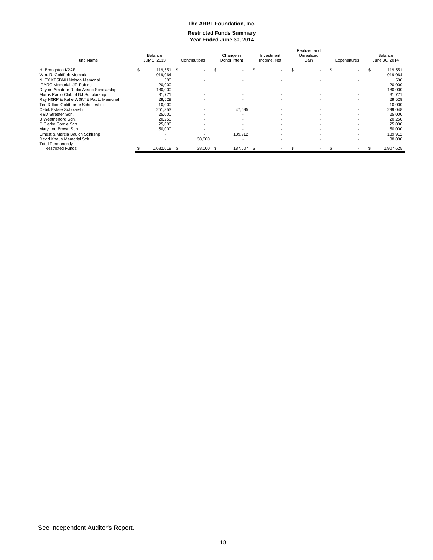#### **Restricted Funds Summary Year Ended June 30, 2014**

| Fund Name                              | Balance<br>July 1, 2013 |                          | Contributions |                          | Change in<br>Donor Intent |            | Investment<br>Income, Net |                          | Realized and<br>Unrealized<br>Gain |                          | Expenditures    |                          | Balance<br>June 30, 2014 |           |
|----------------------------------------|-------------------------|--------------------------|---------------|--------------------------|---------------------------|------------|---------------------------|--------------------------|------------------------------------|--------------------------|-----------------|--------------------------|--------------------------|-----------|
|                                        |                         |                          |               |                          |                           |            | \$                        |                          | \$                                 |                          | \$.             |                          | \$                       |           |
| H. Broughton K2AE                      | \$                      | 119.551 \$               |               |                          | ă.                        |            |                           |                          |                                    | ٠                        |                 | $\overline{\phantom{a}}$ |                          | 119,551   |
| Wm. R. Goldfarb Memorial               |                         | 919,064                  |               | $\overline{\phantom{a}}$ |                           |            |                           |                          |                                    | $\overline{\phantom{0}}$ |                 | $\overline{\phantom{a}}$ |                          | 919,064   |
| N. TX KB5BNU Nelson Memorial           |                         | 500                      |               | $\overline{\phantom{a}}$ |                           |            |                           |                          |                                    | $\overline{\phantom{a}}$ |                 | $\overline{\phantom{a}}$ |                          | 500       |
| <b>IRARC Memorial, JP Rubino</b>       |                         | 20,000                   |               | $\overline{\phantom{0}}$ |                           | $\sim$     |                           |                          |                                    | $\overline{\phantom{a}}$ |                 | $\overline{\phantom{0}}$ |                          | 20,000    |
| Dayton Amateur Radio Assoc Scholarship |                         | 180,000                  |               | -                        |                           |            |                           |                          |                                    | -                        |                 | $\overline{\phantom{a}}$ |                          | 180,000   |
| Morris Radio Club of NJ Scholarship    |                         | 31,771                   |               | -                        |                           |            |                           |                          |                                    | $\overline{\phantom{a}}$ |                 | $\overline{\phantom{a}}$ |                          | 31,771    |
| Ray N0RP & Katie W0KTE Pautz Memorial  |                         | 29.529                   |               | -                        |                           |            |                           | $\overline{\phantom{a}}$ |                                    | $\overline{\phantom{a}}$ |                 | $\overline{\phantom{0}}$ |                          | 29,529    |
| Ted & Itice Goldthorpe Scholarship     |                         | 10,000                   |               |                          |                           |            |                           | $\overline{\phantom{a}}$ |                                    | $\overline{a}$           |                 | $\overline{\phantom{a}}$ |                          | 10,000    |
| Cebik Estate Scholarship               |                         | 251,353                  |               | -                        |                           | 47,695     |                           | $\overline{\phantom{a}}$ |                                    | $\overline{\phantom{a}}$ |                 | $\overline{\phantom{a}}$ |                          | 299,048   |
| R&D Streeter Sch.                      |                         | 25,000                   |               |                          |                           |            |                           |                          |                                    | $\overline{\phantom{0}}$ |                 | $\overline{\phantom{a}}$ |                          | 25,000    |
| B Weatherford Sch.                     |                         | 20.250                   |               | -                        |                           |            |                           | $\overline{\phantom{a}}$ |                                    | $\overline{a}$           |                 | $\overline{\phantom{0}}$ |                          | 20,250    |
| C Clarke Cordle Sch.                   |                         | 25,000                   |               | -                        |                           |            |                           |                          |                                    | $\overline{\phantom{0}}$ |                 | $\overline{\phantom{a}}$ |                          | 25,000    |
| Mary Lou Brown Sch.                    |                         | 50,000                   |               | $\sim$                   |                           |            |                           | $\sim$                   |                                    | $\overline{a}$           |                 | $\sim$                   |                          | 50,000    |
| Ernest & Marcia Baulch Schlrshp        |                         |                          |               |                          |                           | 139,912    |                           |                          |                                    | $\overline{\phantom{a}}$ |                 | $\overline{\phantom{a}}$ |                          | 139,912   |
| David Knaus Memorial Sch.              |                         | $\overline{\phantom{a}}$ |               | 38,000                   |                           |            |                           |                          |                                    | ٠                        |                 | $\overline{\phantom{a}}$ |                          | 38,000    |
| <b>Total Permanently</b>               |                         |                          |               |                          |                           |            |                           |                          |                                    |                          |                 |                          |                          |           |
| <b>Restricted Funds</b>                |                         | 1.682.018                | - 5           | 38,000                   | -5                        | 187,607 \$ |                           |                          |                                    | ٠                        | SS <sub>3</sub> |                          | Ж                        | 1,907,625 |